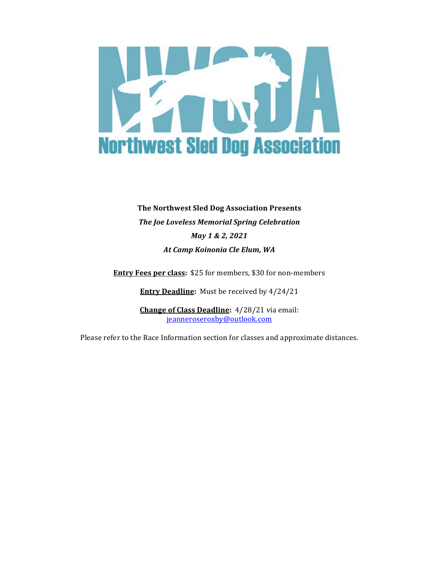

# **The Northwest Sled Dog Association Presents The Joe Loveless Memorial Spring Celebration** *May 1 & 2, 2021 At Camp Koinonia Cle Elum, WA*

**Entry Fees per class:** \$25 for members, \$30 for non-members

**Entry Deadline:** Must be received by  $4/24/21$ 

**Change of Class Deadline:** 4/28/21 via email: jeanneroseroxby@outlook.com

Please refer to the Race Information section for classes and approximate distances.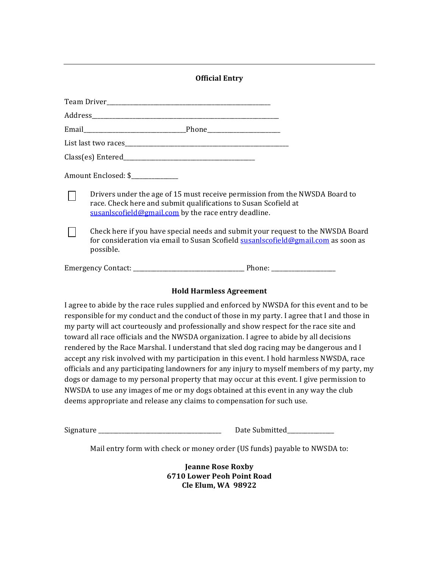## **Official Entry**

| Amount Enclosed: \$_____________ |                                                                                                                                                                                                        |
|----------------------------------|--------------------------------------------------------------------------------------------------------------------------------------------------------------------------------------------------------|
|                                  | Drivers under the age of 15 must receive permission from the NWSDA Board to<br>race. Check here and submit qualifications to Susan Scofield at<br>susanlscofield@gmail.com by the race entry deadline. |
|                                  | Check here if you have special needs and submit your request to the NWSDA Board<br>for consideration via email to Susan Scofield susanlscofield@gmail.com as soon as<br>possible.                      |
|                                  |                                                                                                                                                                                                        |

#### **Hold Harmless Agreement**

I agree to abide by the race rules supplied and enforced by NWSDA for this event and to be responsible for my conduct and the conduct of those in my party. I agree that I and those in my party will act courteously and professionally and show respect for the race site and toward all race officials and the NWSDA organization. I agree to abide by all decisions rendered by the Race Marshal. I understand that sled dog racing may be dangerous and I accept any risk involved with my participation in this event. I hold harmless NWSDA, race officials and any participating landowners for any injury to myself members of my party, my dogs or damage to my personal property that may occur at this event. I give permission to NWSDA to use any images of me or my dogs obtained at this event in any way the club deems appropriate and release any claims to compensation for such use.

Signature \_\_\_\_\_\_\_\_\_\_\_\_\_\_\_\_\_\_\_\_\_\_\_\_\_\_\_\_\_\_\_\_\_\_\_\_\_\_\_\_\_\_ Date Submitted\_\_\_\_\_\_\_\_\_\_\_\_\_\_\_\_

Mail entry form with check or money order (US funds) payable to NWSDA to:

**Jeanne Rose Roxby 6710 Lower Peoh Point Road Cle Elum, WA 98922**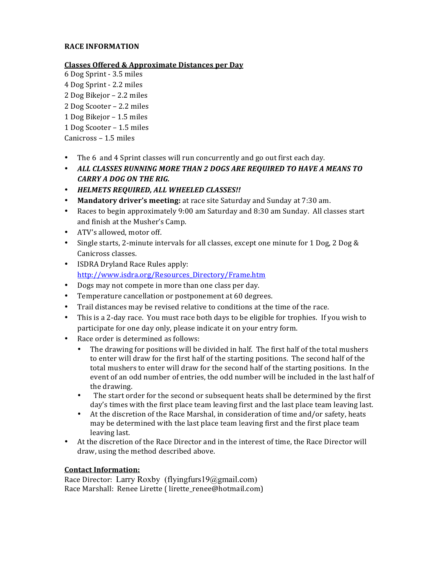#### **RACE INFORMATION**

#### **Classes Offered & Approximate Distances per Day**

- 6 Dog Sprint - 3.5 miles
- 4 Dog Sprint 2.2 miles
- 2 Dog Bikejor 2.2 miles
- 2 Dog Scooter 2.2 miles
- 1 Dog Bikejor 1.5 miles
- 1 Dog Scooter 1.5 miles
- $Canicross 1.5 miles$
- The 6 and 4 Sprint classes will run concurrently and go out first each day.
- ALL CLASSES RUNNING MORE THAN 2 DOGS ARE REQUIRED TO HAVE A MEANS TO *CARRY A DOG ON THE RIG.*
- *HELMETS REQUIRED, ALL WHEELED CLASSES!!*
- **Mandatory driver's meeting:** at race site Saturday and Sunday at 7:30 am.
- Races to begin approximately 9:00 am Saturday and 8:30 am Sunday. All classes start and finish at the Musher's Camp.
- ATV's allowed, motor off.
- Single starts, 2-minute intervals for all classes, except one minute for 1 Dog, 2 Dog & Canicross classes.
- ISDRA Dryland Race Rules apply: http://www.isdra.org/Resources\_Directory/Frame.htm
- Dogs may not compete in more than one class per day.
- Temperature cancellation or postponement at 60 degrees.
- Trail distances may be revised relative to conditions at the time of the race.
- This is a 2-day race. You must race both days to be eligible for trophies. If you wish to participate for one day only, please indicate it on your entry form.
- Race order is determined as follows:
	- The drawing for positions will be divided in half. The first half of the total mushers to enter will draw for the first half of the starting positions. The second half of the total mushers to enter will draw for the second half of the starting positions. In the event of an odd number of entries, the odd number will be included in the last half of the drawing.
	- The start order for the second or subsequent heats shall be determined by the first day's times with the first place team leaving first and the last place team leaving last.
	- At the discretion of the Race Marshal, in consideration of time and/or safety, heats may be determined with the last place team leaving first and the first place team leaving last.
- At the discretion of the Race Director and in the interest of time, the Race Director will draw, using the method described above.

## **Contact Information:**

Race Director: Larry Roxby (flyingfurs19@gmail.com) Race Marshall: Renee Lirette ( lirette\_renee@hotmail.com)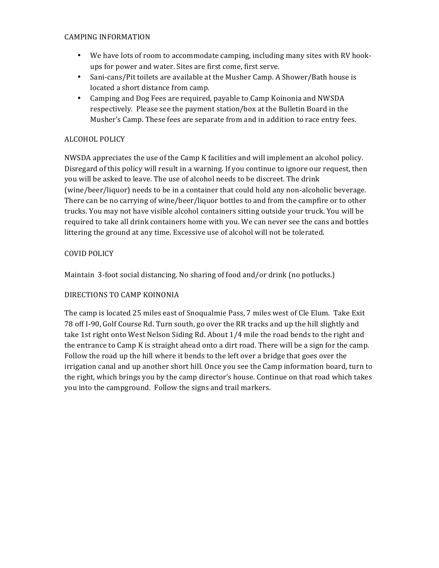#### CAMPING INFORMATION

- We have lots of room to accommodate camping, including many sites with RV hookups for power and water. Sites are first come, first serve.
- Sani-cans/Pit toilets are available at the Musher Camp. A Shower/Bath house is located a short distance from camp.
- Camping and Dog Fees are required, payable to Camp Koinonia and NWSDA respectively. Please see the payment station/box at the Bulletin Board in the Musher's Camp. These fees are separate from and in addition to race entry fees.

# ALCOHOL POLICY

NWSDA appreciates the use of the Camp K facilities and will implement an alcohol policy. Disregard of this policy will result in a warning. If you continue to ignore our request, then you will be asked to leave. The use of alcohol needs to be discreet. The drink (wine/beer/liquor) needs to be in a container that could hold any non-alcoholic beverage. There can be no carrying of wine/beer/liquor bottles to and from the campfire or to other trucks. You may not have visible alcohol containers sitting outside your truck. You will be required to take all drink containers home with you. We can never see the cans and bottles littering the ground at any time. Excessive use of alcohol will not be tolerated.

## COVID POLICY

Maintain 3-foot social distancing. No sharing of food and/or drink (no potlucks.)

## DIRECTIONS TO CAMP KOINONIA

The camp is located 25 miles east of Snoqualmie Pass, 7 miles west of Cle Elum. Take Exit 78 off I-90, Golf Course Rd. Turn south, go over the RR tracks and up the hill slightly and take 1st right onto West Nelson Siding Rd. About  $1/4$  mile the road bends to the right and the entrance to Camp K is straight ahead onto a dirt road. There will be a sign for the camp. Follow the road up the hill where it bends to the left over a bridge that goes over the irrigation canal and up another short hill. Once you see the Camp information board, turn to the right, which brings you by the camp director's house. Continue on that road which takes you into the campground. Follow the signs and trail markers.